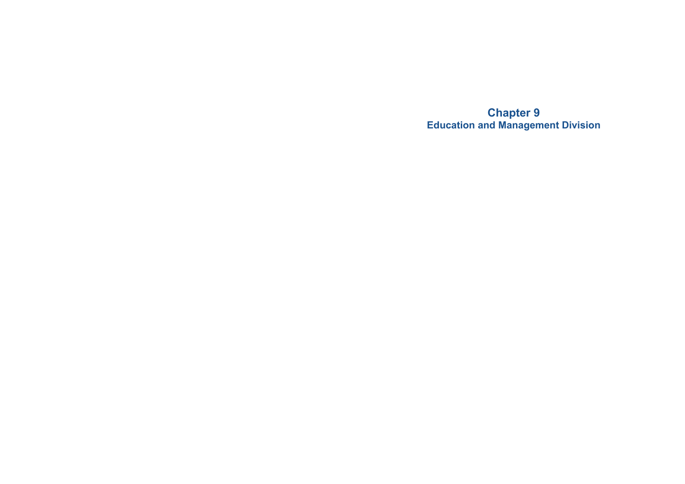**Chapter 9 Education and Management Division**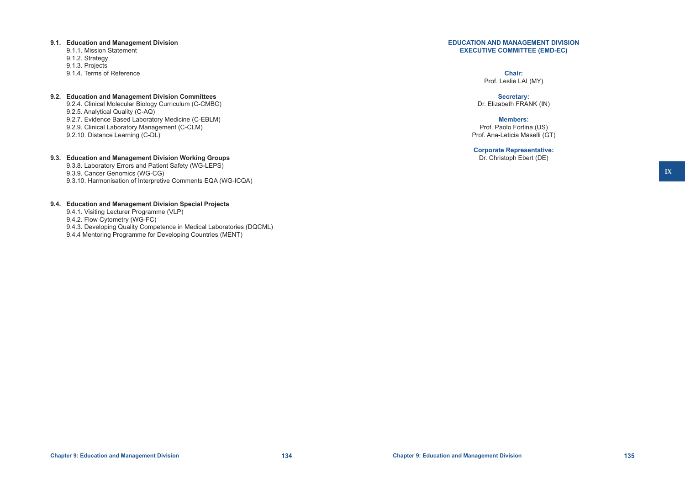#### **Chapter 9: Education and Management Division 134 Chapter 9: Education and Management Division 135**

# **9.1. Education and Management Division**

- 9.1.1. Mission Statement 9.1.2. Strategy
- 9.1.3. Projects
- 9.1.4. Terms of Reference

# **9.2. Education and Management Division Committees**

9.2.4. Clinical Molecular Biology Curriculum (C-CMBC) 9.2.5. Analytical Quality (C-AQ) 9.2.7. Evidence Based Laboratory Medicine (C-EBLM) 9.2.9. Clinical Laboratory Management (C-CLM) 9.2.10. Distance Learning (C-DL)

# **9.3. Education and Management Division Working Groups**

9.3.8. Laboratory Errors and Patient Safety (WG-LEPS) 9.3.9. Cancer Genomics (WG-CG) 9.3.10. Harmonisation of Interpretive Comments EQA (WG-ICQA)

# **9.4. Education and Management Division Special Projects**

9.4.1. Visiting Lecturer Programme (VLP)

9.4.2. Flow Cytometry (WG-FC)

- 9.4.3. Developing Quality Competence in Medical Laboratories (DQCML)
- 9.4.4 Mentoring Programme for Developing Countries (MENT)

# **EDUCATION AND MANAGEMENT DIVISION EXECUTIVE COMMITTEE (EMD-EC)**

#### **Chair:** Prof. Leslie LAI (MY)

# **Secretary:**

Dr. Elizabeth FRANK (IN)

# **Members:**

Prof. Paolo Fortina (US) Prof. Ana-Leticia Maselli (GT)

# **Corporate Representative:**

Dr. Christoph Ebert (DE)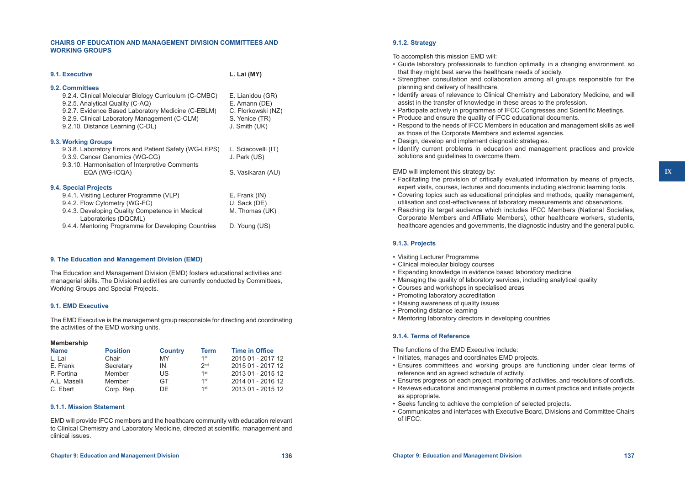# **CHAIRS OF EDUCATION AND MANAGEMENT DIVISION COMMITTEES AND WORKING GROUPS**

| 9.1. Executive                                                          | L. Lai (MY)         |
|-------------------------------------------------------------------------|---------------------|
| 9.2. Committees                                                         |                     |
| 9.2.4. Clinical Molecular Biology Curriculum (C-CMBC)                   | E. Lianidou (GR)    |
| 9.2.5. Analytical Quality (C-AQ)                                        | E. Amann (DE)       |
| 9.2.7. Evidence Based Laboratory Medicine (C-EBLM)                      | C. Florkowski (NZ)  |
| 9.2.9. Clinical Laboratory Management (C-CLM)                           | S. Yenice (TR)      |
| 9.2.10. Distance Learning (C-DL)                                        | J. Smith (UK)       |
| 9.3. Working Groups                                                     |                     |
| 9.3.8. Laboratory Errors and Patient Safety (WG-LEPS)                   | L. Sciacovelli (IT) |
| 9.3.9. Cancer Genomics (WG-CG)                                          | J. Park (US)        |
| 9.3.10. Harmonisation of Interpretive Comments                          |                     |
| EQA (WG-ICQA)                                                           | S. Vasikaran (AU)   |
|                                                                         |                     |
| 9.4. Special Projects                                                   |                     |
| 9.4.1. Visiting Lecturer Programme (VLP)                                | E. Frank (IN)       |
| 9.4.2. Flow Cytometry (WG-FC)                                           | U. Sack (DE)        |
| 9.4.3. Developing Quality Competence in Medical<br>Laboratories (DQCML) | M. Thomas (UK)      |
| 9.4.4. Mentoring Programme for Developing Countries                     | D. Young (US)       |

# **9. The Education and Management Division (EMD)**

The Education and Management Division (EMD) fosters educational activities and managerial skills. The Divisional activities are currently conducted by Committees, Working Groups and Special Projects.

# **9.1. EMD Executive**

The EMD Executive is the management group responsible for directing and coordinating the activities of the EMD working units.

#### **Membership**

| <b>Name</b>  | <b>Position</b> | <b>Country</b> | <b>Term</b>     | <b>Time in Office</b> |
|--------------|-----------------|----------------|-----------------|-----------------------|
| l Iai        | Chair           | MY             | 1st             | 2015 01 - 2017 12     |
| E. Frank     | Secretary       | IN             | 2 <sub>nd</sub> | 2015 01 - 2017 12     |
| P. Fortina   | Member          | US             | $1$ st          | 2013 01 - 2015 12     |
| A.L. Maselli | Member          | GT.            | 1st             | 2014 01 - 2016 12     |
| C. Ebert     | Corp. Rep.      | DF.            | 1st             | 2013 01 - 2015 12     |

## **9.1.1. Mission Statement**

EMD will provide IFCC members and the healthcare community with education relevant to Clinical Chemistry and Laboratory Medicine, directed at scientific, management and clinical issues.

# **9.1.2. Strategy**

To accomplish this mission EMD will:

- • Guide laboratory professionals to function optimally, in a changing environment, so that they might best serve the healthcare needs of society.
- • Strengthen consultation and collaboration among all groups responsible for the planning and delivery of healthcare.
- Identify areas of relevance to Clinical Chemistry and Laboratory Medicine, and will assist in the transfer of knowledge in these areas to the profession.
- • Participate actively in programmes of IFCC Congresses and Scientific Meetings.
- Produce and ensure the quality of IFCC educational documents.
- Respond to the needs of IFCC Members in education and management skills as well as those of the Corporate Members and external agencies.
- Design, develop and implement diagnostic strategies.
- • Identify current problems in education and management practices and provide solutions and guidelines to overcome them.

#### EMD will implement this strategy by:

- • Facilitating the provision of critically evaluated information by means of projects, expert visits, courses, lectures and documents including electronic learning tools.
- • Covering topics such as educational principles and methods, quality management, utilisation and cost-effectiveness of laboratory measurements and observations.
- Reaching its target audience which includes IFCC Members (National Societies, Corporate Members and Affiliate Members), other healthcare workers, students, healthcare agencies and governments, the diagnostic industry and the general public.

#### **9.1.3. Projects**

- • Visiting Lecturer Programme
- Clinical molecular biology courses
- Expanding knowledge in evidence based laboratory medicine
- Managing the quality of laboratory services, including analytical quality
- • Courses and workshops in specialised areas
- Promoting laboratory accreditation
- Raising awareness of quality issues
- Promoting distance learning
- Mentoring laboratory directors in developing countries

# **9.1.4. Terms of Reference**

The functions of the EMD Executive include:

- Initiates, manages and coordinates EMD projects.
- • Ensures committees and working groups are functioning under clear terms of reference and an agreed schedule of activity.
- • Ensures progress on each project, monitoring of activities, and resolutions of conflicts.
- • Reviews educational and managerial problems in current practice and initiate projects as appropriate.
- • Seeks funding to achieve the completion of selected projects.
- • Communicates and interfaces with Executive Board, Divisions and Committee Chairs of IFCC.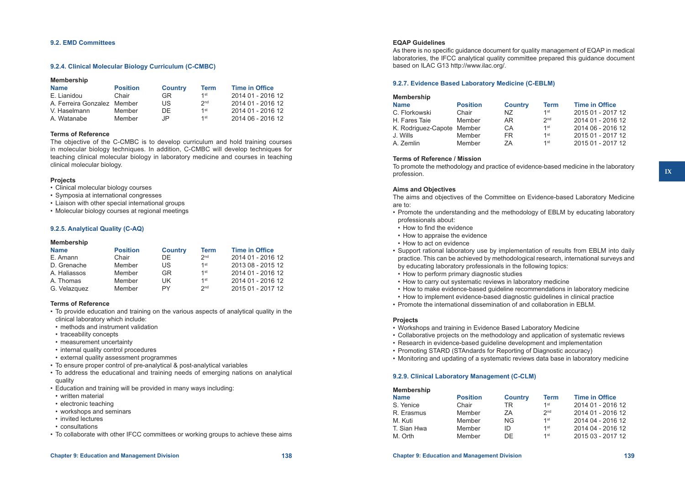#### **9.2. EMD Committees**

## **9.2.4. Clinical Molecular Biology Curriculum (C-CMBC)**

| <b>Membership</b>           |                 |                |                 |                       |
|-----------------------------|-----------------|----------------|-----------------|-----------------------|
| <b>Name</b>                 | <b>Position</b> | <b>Country</b> | <b>Term</b>     | <b>Time in Office</b> |
| E. Lianidou                 | Chair           | GR.            | 1st             | 2014 01 - 2016 12     |
| A. Ferreira Gonzalez Member |                 | US             | 2 <sub>nd</sub> | 2014 01 - 2016 12     |
| V. Haselmann                | Member          | DF.            | 1st             | 2014 01 - 2016 12     |
| A. Watanabe                 | Member          | JP.            | 1st             | 2014 06 - 2016 12     |

# **Terms of Reference**

The objective of the C-CMBC is to develop curriculum and hold training courses in molecular biology techniques. In addition, C-CMBC will develop techniques for teaching clinical molecular biology in laboratory medicine and courses in teaching clinical molecular biology.

#### **Projects**

- Clinical molecular biology courses
- • Symposia at international congresses
- Liaison with other special international groups
- Molecular biology courses at regional meetings

#### **9.2.5. Analytical Quality (C-AQ)**

## **Membership**

| <b>Name</b>  | <b>Position</b> | <b>Country</b> | <b>Term</b>     | <b>Time in Office</b> |
|--------------|-----------------|----------------|-----------------|-----------------------|
| E. Amann     | Chair           | DF.            | 2 <sub>nd</sub> | 2014 01 - 2016 12     |
| D. Grenache  | Member          | US             | 1st             | 2013 08 - 2015 12     |
| A. Haliassos | Member          | GR             | 1st             | 2014 01 - 2016 12     |
| A. Thomas    | Member          | UK.            | 1st             | 2014 01 - 2016 12     |
| G. Velazquez | Member          | PY             | 2 <sub>nd</sub> | 2015 01 - 2017 12     |

# **Terms of Reference**

- • To provide education and training on the various aspects of analytical quality in the clinical laboratory which include:
- methods and instrument validation
- traceability concepts
- measurement uncertainty
- internal quality control procedures
- external quality assessment programmes
- To ensure proper control of pre-analytical & post-analytical variables
- • To address the educational and training needs of emerging nations on analytical quality
- Education and training will be provided in many ways including:
- written material
- electronic teaching
- • workshops and seminars
- invited lectures
- consultations
- • To collaborate with other IFCC committees or working groups to achieve these aims

# **EQAP Guidelines**

As there is no specific guidance document for quality management of EQAP in medical laboratories, the IFCC analytical quality committee prepared this guidance document based on ILAC G13 http://www.ilac.org/.

# **9.2.7. Evidence Based Laboratory Medicine (C-EBLM)**

| <b>Membership</b>          |                 |                |                 |                       |
|----------------------------|-----------------|----------------|-----------------|-----------------------|
| <b>Name</b>                | <b>Position</b> | <b>Country</b> | <b>Term</b>     | <b>Time in Office</b> |
| C. Florkowski              | Chair           | NZ.            | 1st             | 2015 01 - 2017 12     |
| H. Fares Taie              | Member          | AR.            | 2 <sub>nd</sub> | 2014 01 - 2016 12     |
| K. Rodriguez-Capote Member |                 | СA             | $1$ st          | 2014 06 - 2016 12     |
| J. Wills                   | Member          | FR.            | 1st             | 2015 01 - 2017 12     |
| A. Zemlin                  | Member          | 7A             | 1st             | 2015 01 - 2017 12     |
|                            |                 |                |                 |                       |

# **Terms of Reference / Mission**

To promote the methodology and practice of evidence-based medicine in the laboratory profession.

# **Aims and Objectives**

The aims and objectives of the Committee on Evidence-based Laboratory Medicine are to:

- • Promote the understanding and the methodology of EBLM by educating laboratory professionals about:
- How to find the evidence
- How to appraise the evidence
- How to act on evidence
- • Support rational laboratory use by implementation of results from EBLM into daily practice. This can be achieved by methodological research, international surveys and by educating laboratory professionals in the following topics:
- How to perform primary diagnostic studies
- How to carry out systematic reviews in laboratory medicine
- • How to make evidence-based guideline recommendations in laboratory medicine
- How to implement evidence-based diagnostic guidelines in clinical practice
- • Promote the international dissemination of and collaboration in EBLM.

# **Projects**

- Workshops and training in Evidence Based Laboratory Medicine
- • Collaborative projects on the methodology and application of systematic reviews
- Research in evidence-based guideline development and implementation
- Promoting STARD (STAndards for Reporting of Diagnostic accuracy)
- • Monitoring and updating of a systematic reviews data base in laboratory medicine

# **9.2.9. Clinical Laboratory Management (C-CLM)**

| <b>Membership</b> |                 |                |                 |                       |
|-------------------|-----------------|----------------|-----------------|-----------------------|
| <b>Name</b>       | <b>Position</b> | <b>Country</b> | <b>Term</b>     | <b>Time in Office</b> |
| S. Yenice         | Chair           | TR             | 1st             | 2014 01 - 2016 12     |
| R. Erasmus        | Member          | 7A             | 2 <sub>nd</sub> | 2014 01 - 2016 12     |
| M. Kuti           | Member          | NG.            | 1st             | 2014 04 - 2016 12     |
| T. Sian Hwa       | Member          | ID             | 1st             | 2014 04 - 2016 12     |
| M. Orth           | Member          | DE             | 1st             | 2015 03 - 2017 12     |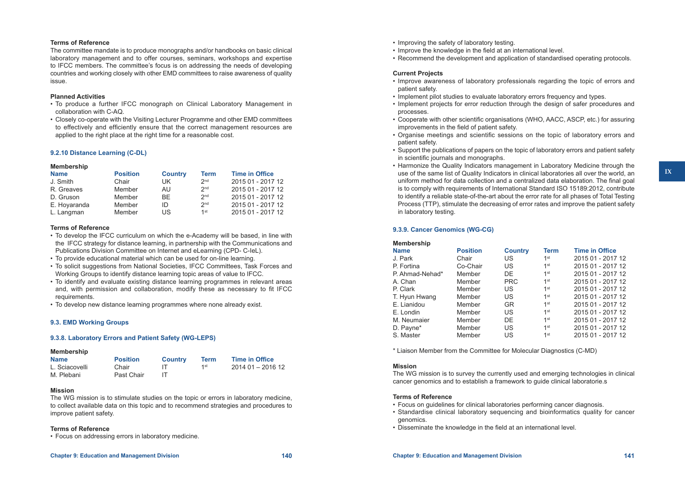#### **Terms of Reference**

The committee mandate is to produce monographs and/or handbooks on basic clinical laboratory management and to offer courses, seminars, workshops and expertise to IFCC members. The committee's focus is on addressing the needs of developing countries and working closely with other EMD committees to raise awareness of quality issue.

#### **Planned Activities**

- To produce a further IFCC monograph on Clinical Laboratory Management in collaboration with C-AQ.
- • Closely co-operate with the Visiting Lecturer Programme and other EMD committees to effectively and efficiently ensure that the correct management resources are applied to the right place at the right time for a reasonable cost.

#### **9.2.10 Distance Learning (C-DL)**

#### **Membership**

| <b>Name</b>  | <b>Position</b> | <b>Country</b> | <b>Term</b>     | <b>Time in Office</b> |
|--------------|-----------------|----------------|-----------------|-----------------------|
| J. Smith     | Chair           | UK             | 2 <sub>nd</sub> | 2015 01 - 2017 12     |
| R. Greaves   | Member          | AU             | 2 <sub>nd</sub> | 2015 01 - 2017 12     |
| D. Gruson    | Member          | BF.            | 2 <sub>nd</sub> | 2015 01 - 2017 12     |
| E. Hovaranda | Member          | ID             | 2 <sub>nd</sub> | 2015 01 - 2017 12     |
| L. Langman   | Member          | US             | $1$ st          | 2015 01 - 2017 12     |

#### **Terms of Reference**

- • To develop the IFCC curriculum on which the e-Academy will be based, in line with the IFCC strategy for distance learning, in partnership with the Communications and Publications Division Committee on Internet and eLearning (CPD- C-IeL).
- To provide educational material which can be used for on-line learning.
- • To solicit suggestions from National Societies, IFCC Committees, Task Forces and Working Groups to identify distance learning topic areas of value to IFCC.
- • To identify and evaluate existing distance learning programmes in relevant areas and, with permission and collaboration, modify these as necessary to fit IFCC requirements.
- To develop new distance learning programmes where none already exist.

#### **9.3. EMD Working Groups**

#### **9.3.8. Laboratory Errors and Patient Safety (WG-LEPS)**

#### **Membership**

| <b>Name</b>    | <b>Position</b> | <b>Country</b> | Term | <b>Time in Office</b> |
|----------------|-----------------|----------------|------|-----------------------|
| L. Sciacovelli | Chair           |                | 1st  | 2014 01 - 2016 12     |
| M. Plebani     | Past Chair      |                |      |                       |

#### **Mission**

The WG mission is to stimulate studies on the topic or errors in laboratory medicine, to collect available data on this topic and to recommend strategies and procedures to improve patient safety.

#### **Terms of Reference**

• Focus on addressing errors in laboratory medicine.

- Improving the safety of laboratory testing.
- Improve the knowledge in the field at an international level.
- • Recommend the development and application of standardised operating protocols.

# **Current Projects**

- • Improve awareness of laboratory professionals regarding the topic of errors and patient safety.
- • Implement pilot studies to evaluate laboratory errors frequency and types.
- Implement projects for error reduction through the design of safer procedures and processes.
- • Cooperate with other scientific organisations (WHO, AACC, ASCP, etc.) for assuring improvements in the field of patient safety.
- • Organise meetings and scientific sessions on the topic of laboratory errors and patient safety.
- • Support the publications of papers on the topic of laboratory errors and patient safety in scientific journals and monographs.
- • Harmonize the Quality Indicators management in Laboratory Medicine through the use of the same list of Quality Indicators in clinical laboratories all over the world, an uniform method for data collection and a centralized data elaboration. The final goal is to comply with requirements of International Standard ISO 15189:2012, contribute to identify a reliable state-of-the-art about the error rate for all phases of Total Testing Process (TTP), stimulate the decreasing of error rates and improve the patient safety in laboratory testing.

## **9.3.9. Cancer Genomics (WG-CG)**

| <b>Membership</b> |                 |                |                 |                       |
|-------------------|-----------------|----------------|-----------------|-----------------------|
| <b>Name</b>       | <b>Position</b> | <b>Country</b> | <b>Term</b>     | <b>Time in Office</b> |
| J. Park           | Chair           | US             | 1 <sup>st</sup> | 2015 01 - 2017 12     |
| P. Fortina        | Co-Chair        | US             | 1 <sup>st</sup> | 2015 01 - 2017 12     |
| P. Ahmad-Nehad*   | Member          | DE             | $1$ st          | 2015 01 - 2017 12     |
| A. Chan           | Member          | <b>PRC</b>     | 1 <sup>st</sup> | 2015 01 - 2017 12     |
| P. Clark          | Member          | US             | 1 <sup>st</sup> | 2015 01 - 2017 12     |
| T. Hyun Hwang     | Member          | US             | 1 <sup>st</sup> | 2015 01 - 2017 12     |
| E. Lianidou       | Member          | GR             | 1 <sup>st</sup> | 2015 01 - 2017 12     |
| E. Londin         | Member          | US             | 1 <sup>st</sup> | 2015 01 - 2017 12     |
| M. Neumaier       | Member          | DE             | 1 <sup>st</sup> | 2015 01 - 2017 12     |
| D. Payne*         | Member          | US             | 1 <sup>st</sup> | 2015 01 - 2017 12     |
| S. Master         | Member          | US             | $1$ st          | 2015 01 - 2017 12     |
|                   |                 |                |                 |                       |

\* Liaison Member from the Committee for Molecular Diagnostics (C-MD)

#### **Mission**

The WG mission is to survey the currently used and emerging technologies in clinical cancer genomics and to establish a framework to guide clinical laboratorie.s

#### **Terms of Reference**

- Focus on quidelines for clinical laboratories performing cancer diagnosis.
- • Standardise clinical laboratory sequencing and bioinformatics quality for cancer genomics.
- Disseminate the knowledge in the field at an international level.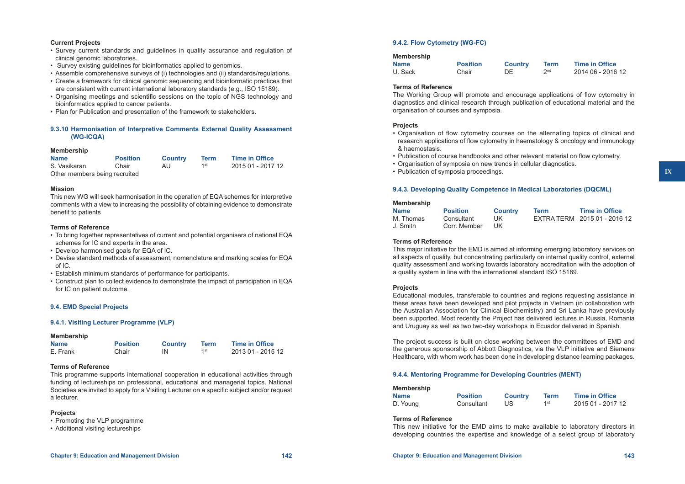# **Current Projects**

- • Survey current standards and guidelines in quality assurance and regulation of clinical genomic laboratories.
- Survey existing quidelines for bioinformatics applied to genomics.
- • Assemble comprehensive surveys of (i) technologies and (ii) standards/regulations.
- • Create a framework for clinical genomic sequencing and bioinformatic practices that are consistent with current international laboratory standards (e.g., ISO 15189).
- • Organising meetings and scientific sessions on the topic of NGS technology and bioinformatics applied to cancer patients.
- Plan for Publication and presentation of the framework to stakeholders.

# **9.3.10 Harmonisation of Interpretive Comments External Quality Assessment (WG-ICQA)**

# **Membership**

| <b>Name</b>                   | <b>Position</b> | <b>Country</b> | Term | <b>Time in Office</b> |
|-------------------------------|-----------------|----------------|------|-----------------------|
| S. Vasikaran                  | Chair           | AU.            | 1st  | 2015 01 - 2017 12     |
| Other members being recruited |                 |                |      |                       |

#### **Mission**

This new WG will seek harmonisation in the operation of EQA schemes for interpretive comments with a view to increasing the possibility of obtaining evidence to demonstrate benefit to patients

#### **Terms of Reference**

- • To bring together representatives of current and potential organisers of national EQA schemes for IC and experts in the area.
- • Develop harmonised goals for EQA of IC.
- • Devise standard methods of assessment, nomenclature and marking scales for EQA of IC.
- • Establish minimum standards of performance for participants.
- • Construct plan to collect evidence to demonstrate the impact of participation in EQA for IC on patient outcome.

# **9.4. EMD Special Projects**

# **9.4.1. Visiting Lecturer Programme (VLP)**

#### **Membership**

| <b>Name</b> | <b>Position</b> | <b>Country</b> | <b>Term</b> | <b>Time in Office</b> |
|-------------|-----------------|----------------|-------------|-----------------------|
| E. Frank    | Chair           | IN             | 1st         | 2013 01 - 2015 12     |

# **Terms of Reference**

This programme supports international cooperation in educational activities through funding of lectureships on professional, educational and managerial topics. National Societies are invited to apply for a Visiting Lecturer on a specific subject and/or request a lecturer.

# **Projects**

- Promoting the VLP programme
- • Additional visiting lectureships

# **9.4.2. Flow Cytometry (WG-FC)**

#### **Membership**

| <b>Name</b> | <b>Position</b> | <b>Country</b> | Term            | <b>Time in Office</b> |
|-------------|-----------------|----------------|-----------------|-----------------------|
| U. Sack     | Chair           | DE.            | 2 <sub>nd</sub> | 2014 06 - 2016 12     |

# **Terms of Reference**

The Working Group will promote and encourage applications of flow cytometry in diagnostics and clinical research through publication of educational material and the organisation of courses and symposia.

# **Projects**

- • Organisation of flow cytometry courses on the alternating topics of clinical and research applications of flow cytometry in haematology & oncology and immunology & haemostasis.
- • Publication of course handbooks and other relevant material on flow cytometry.
- Organisation of symposia on new trends in cellular diagnostics.
- Publication of symposia proceedings.

# **9.4.3. Developing Quality Competence in Medical Laboratories (DQCML)**

#### **Membership**

| <b>Name</b> | <b>Position</b> | <b>Country</b> | Term | <b>Time in Office</b>        |
|-------------|-----------------|----------------|------|------------------------------|
| M. Thomas   | Consultant      | UK             |      | EXTRA TERM 2015 01 - 2016 12 |
| J. Smith    | Corr. Member    | UK.            |      |                              |

#### **Terms of Reference**

This major initiative for the EMD is aimed at informing emerging laboratory services on all aspects of quality, but concentrating particularly on internal quality control, external quality assessment and working towards laboratory accreditation with the adoption of a quality system in line with the international standard ISO 15189.

# **Projects**

Educational modules, transferable to countries and regions requesting assistance in these areas have been developed and pilot projects in Vietnam (in collaboration with the Australian Association for Clinical Biochemistry) and Sri Lanka have previously been supported. Most recently the Project has delivered lectures in Russia, Romania and Uruguay as well as two two-day workshops in Ecuador delivered in Spanish.

The project success is built on close working between the committees of EMD and the generous sponsorship of Abbott Diagnostics, via the VLP initiative and Siemens Healthcare, with whom work has been done in developing distance learning packages.

# **9.4.4. Mentoring Programme for Developing Countries (MENT)**

| Membership  |                 |                |             |                       |
|-------------|-----------------|----------------|-------------|-----------------------|
| <b>Name</b> | <b>Position</b> | <b>Country</b> | <b>Term</b> | <b>Time in Office</b> |
| D. Young    | Consultant      | US             | 1st         | 2015 01 - 2017 12     |

# **Terms of Reference**

This new initiative for the EMD aims to make available to laboratory directors in developing countries the expertise and knowledge of a select group of laboratory